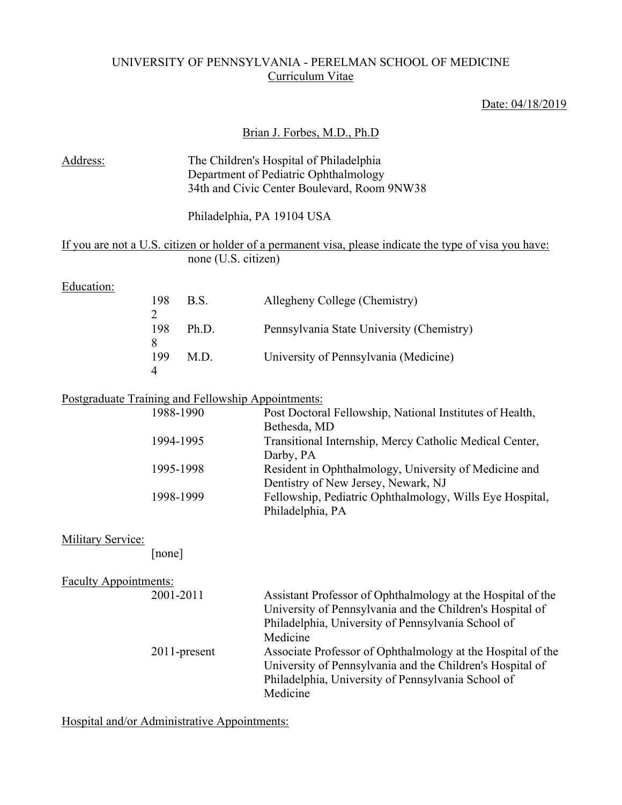## UNIVERSITY OF PENNSYLVANIA - PERELMAN SCHOOL OF MEDICINE Curriculum Vitae

# Date: 04/18/2019

## Brian J. Forbes, M.D., Ph.D

| Address:                                           |                            |                     | The Children's Hospital of Philadelphia                                                                                                                                                    |
|----------------------------------------------------|----------------------------|---------------------|--------------------------------------------------------------------------------------------------------------------------------------------------------------------------------------------|
|                                                    |                            |                     | Department of Pediatric Ophthalmology                                                                                                                                                      |
|                                                    |                            |                     | 34th and Civic Center Boulevard, Room 9NW38                                                                                                                                                |
|                                                    |                            |                     | Philadelphia, PA 19104 USA                                                                                                                                                                 |
|                                                    |                            |                     | If you are not a U.S. citizen or holder of a permanent visa, please indicate the type of visa you have:                                                                                    |
|                                                    |                            | none (U.S. citizen) |                                                                                                                                                                                            |
| Education:                                         |                            |                     |                                                                                                                                                                                            |
|                                                    | 198                        | B.S.                | Allegheny College (Chemistry)                                                                                                                                                              |
|                                                    | $\overline{2}$<br>198<br>8 | Ph.D.               | Pennsylvania State University (Chemistry)                                                                                                                                                  |
|                                                    | 199<br>4                   | M.D.                | University of Pennsylvania (Medicine)                                                                                                                                                      |
| Postgraduate Training and Fellowship Appointments: |                            |                     |                                                                                                                                                                                            |
|                                                    | 1988-1990                  |                     | Post Doctoral Fellowship, National Institutes of Health,<br>Bethesda, MD                                                                                                                   |
|                                                    | 1994-1995                  |                     | Transitional Internship, Mercy Catholic Medical Center,<br>Darby, PA                                                                                                                       |
|                                                    | 1995-1998                  |                     | Resident in Ophthalmology, University of Medicine and<br>Dentistry of New Jersey, Newark, NJ                                                                                               |
|                                                    | 1998-1999                  |                     | Fellowship, Pediatric Ophthalmology, Wills Eye Hospital,<br>Philadelphia, PA                                                                                                               |
| <b>Military Service:</b>                           |                            |                     |                                                                                                                                                                                            |
|                                                    | [none]                     |                     |                                                                                                                                                                                            |
| <b>Faculty Appointments:</b>                       |                            |                     |                                                                                                                                                                                            |
|                                                    | 2001-2011                  |                     | Assistant Professor of Ophthalmology at the Hospital of the<br>University of Pennsylvania and the Children's Hospital of<br>Philadelphia, University of Pennsylvania School of<br>Medicine |
|                                                    |                            | 2011-present        | Associate Professor of Ophthalmology at the Hospital of the<br>University of Pennsylvania and the Children's Hospital of<br>Philadelphia, University of Pennsylvania School of<br>Medicine |
|                                                    |                            |                     |                                                                                                                                                                                            |

Hospital and/or Administrative Appointments: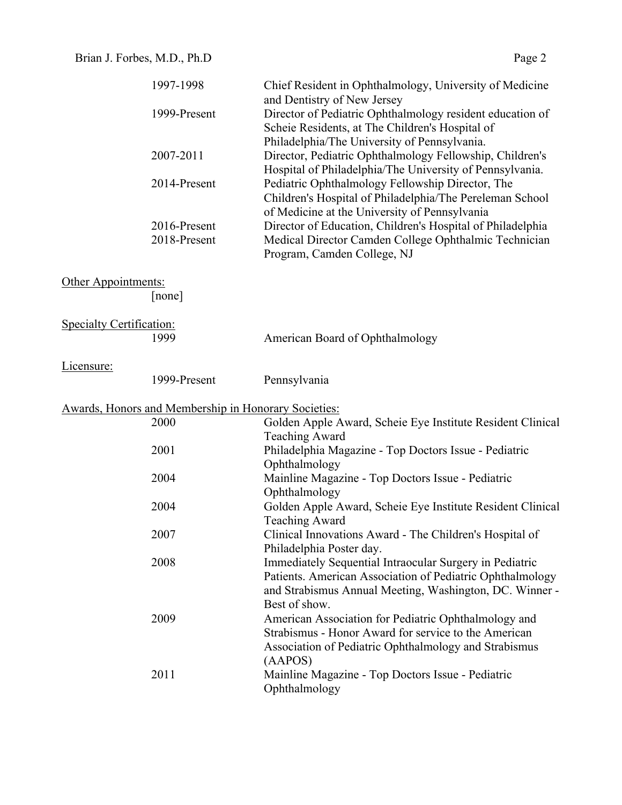|                                 | 1997-1998                                            | Chief Resident in Ophthalmology, University of Medicine<br>and Dentistry of New Jersey                                                                                                                                                            |
|---------------------------------|------------------------------------------------------|---------------------------------------------------------------------------------------------------------------------------------------------------------------------------------------------------------------------------------------------------|
|                                 | 1999-Present                                         | Director of Pediatric Ophthalmology resident education of<br>Scheie Residents, at The Children's Hospital of<br>Philadelphia/The University of Pennsylvania.                                                                                      |
|                                 | 2007-2011                                            | Director, Pediatric Ophthalmology Fellowship, Children's<br>Hospital of Philadelphia/The University of Pennsylvania.                                                                                                                              |
|                                 | 2014-Present                                         | Pediatric Ophthalmology Fellowship Director, The<br>Children's Hospital of Philadelphia/The Pereleman School<br>of Medicine at the University of Pennsylvania                                                                                     |
|                                 | 2016-Present<br>2018-Present                         | Director of Education, Children's Hospital of Philadelphia<br>Medical Director Camden College Ophthalmic Technician<br>Program, Camden College, NJ                                                                                                |
| Other Appointments:             | [none]                                               |                                                                                                                                                                                                                                                   |
| <b>Specialty Certification:</b> | 1999                                                 | American Board of Ophthalmology                                                                                                                                                                                                                   |
| Licensure:                      | 1999-Present                                         | Pennsylvania                                                                                                                                                                                                                                      |
|                                 | Awards, Honors and Membership in Honorary Societies: |                                                                                                                                                                                                                                                   |
|                                 | 2000                                                 | Golden Apple Award, Scheie Eye Institute Resident Clinical<br><b>Teaching Award</b>                                                                                                                                                               |
|                                 | 2001                                                 | Philadelphia Magazine - Top Doctors Issue - Pediatric<br>Ophthalmology                                                                                                                                                                            |
|                                 | 2004                                                 | Mainline Magazine - Top Doctors Issue - Pediatric<br>Ophthalmology                                                                                                                                                                                |
|                                 | 2004                                                 | Golden Apple Award, Scheie Eye Institute Resident Clinical<br><b>Teaching Award</b>                                                                                                                                                               |
|                                 | 2007                                                 | Clinical Innovations Award - The Children's Hospital of<br>Philadelphia Poster day.                                                                                                                                                               |
|                                 | 2008                                                 | Immediately Sequential Intraocular Surgery in Pediatric<br>Patients. American Association of Pediatric Ophthalmology                                                                                                                              |
|                                 | 2009                                                 | and Strabismus Annual Meeting, Washington, DC. Winner -<br>Best of show.<br>American Association for Pediatric Ophthalmology and<br>Strabismus - Honor Award for service to the American<br>Association of Pediatric Ophthalmology and Strabismus |
|                                 | 2011                                                 | (AAPOS)<br>Mainline Magazine - Top Doctors Issue - Pediatric<br>Ophthalmology                                                                                                                                                                     |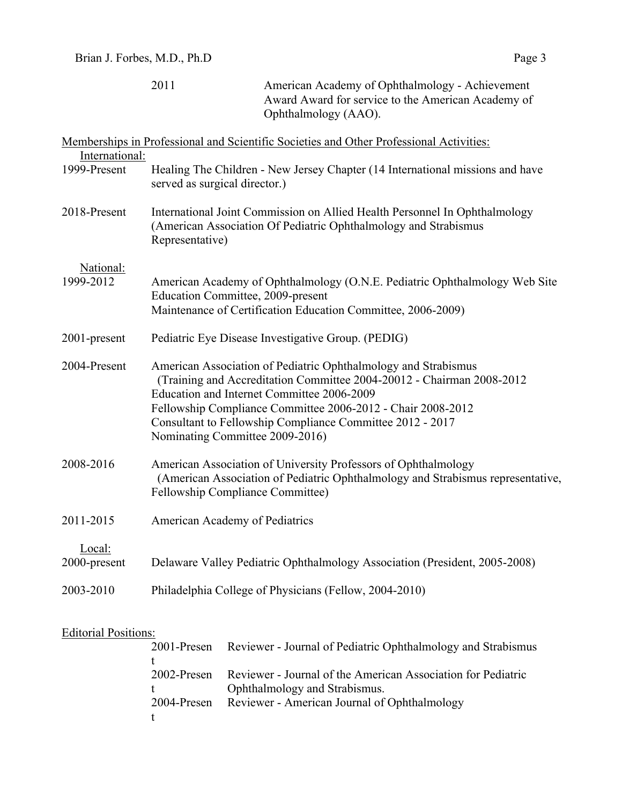|                | Memberships in Professional and Scientific Societies and Other Professional Activities:                                                                                                                                                                                                                                                              |
|----------------|------------------------------------------------------------------------------------------------------------------------------------------------------------------------------------------------------------------------------------------------------------------------------------------------------------------------------------------------------|
| International: |                                                                                                                                                                                                                                                                                                                                                      |
| 1999-Present   | Healing The Children - New Jersey Chapter (14 International missions and have<br>served as surgical director.)                                                                                                                                                                                                                                       |
| 2018-Present   | International Joint Commission on Allied Health Personnel In Ophthalmology<br>(American Association Of Pediatric Ophthalmology and Strabismus<br>Representative)                                                                                                                                                                                     |
| National:      |                                                                                                                                                                                                                                                                                                                                                      |
| 1999-2012      | American Academy of Ophthalmology (O.N.E. Pediatric Ophthalmology Web Site<br>Education Committee, 2009-present                                                                                                                                                                                                                                      |
|                | Maintenance of Certification Education Committee, 2006-2009)                                                                                                                                                                                                                                                                                         |
| 2001-present   | Pediatric Eye Disease Investigative Group. (PEDIG)                                                                                                                                                                                                                                                                                                   |
| 2004-Present   | American Association of Pediatric Ophthalmology and Strabismus<br>(Training and Accreditation Committee 2004-20012 - Chairman 2008-2012<br>Education and Internet Committee 2006-2009<br>Fellowship Compliance Committee 2006-2012 - Chair 2008-2012<br>Consultant to Fellowship Compliance Committee 2012 - 2017<br>Nominating Committee 2009-2016) |
| 2008-2016      | American Association of University Professors of Ophthalmology<br>(American Association of Pediatric Ophthalmology and Strabismus representative,<br>Fellowship Compliance Committee)                                                                                                                                                                |
| 2011-2015      | American Academy of Pediatrics                                                                                                                                                                                                                                                                                                                       |
| Local:         |                                                                                                                                                                                                                                                                                                                                                      |
| 2000-present   | Delaware Valley Pediatric Ophthalmology Association (President, 2005-2008)                                                                                                                                                                                                                                                                           |
| 2003-2010      | Philadelphia College of Physicians (Fellow, 2004-2010)                                                                                                                                                                                                                                                                                               |
|                |                                                                                                                                                                                                                                                                                                                                                      |

# Editorial Positions:

|             | 2001-Presen Reviewer - Journal of Pediatric Ophthalmology and Strabismus |
|-------------|--------------------------------------------------------------------------|
|             |                                                                          |
| 2002-Presen | Reviewer - Journal of the American Association for Pediatric             |
|             | Ophthalmology and Strabismus.                                            |
|             | 2004-Presen Reviewer - American Journal of Ophthalmology                 |
|             |                                                                          |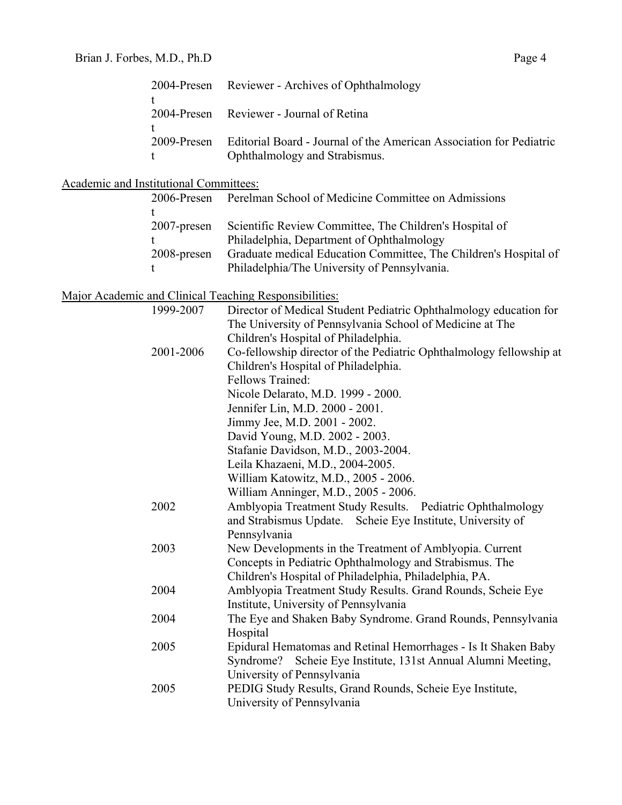t

|                                        | τ<br>2004-Presen                             | Reviewer - Journal of Retina                                                                                                                                                                                             |
|----------------------------------------|----------------------------------------------|--------------------------------------------------------------------------------------------------------------------------------------------------------------------------------------------------------------------------|
|                                        | t<br>2009-Presen<br>t                        | Editorial Board - Journal of the American Association for Pediatric<br>Ophthalmology and Strabismus.                                                                                                                     |
| Academic and Institutional Committees: |                                              |                                                                                                                                                                                                                          |
|                                        | 2006-Presen                                  | Perelman School of Medicine Committee on Admissions                                                                                                                                                                      |
|                                        | t<br>$2007$ -presen<br>t<br>2008-presen<br>t | Scientific Review Committee, The Children's Hospital of<br>Philadelphia, Department of Ophthalmology<br>Graduate medical Education Committee, The Children's Hospital of<br>Philadelphia/The University of Pennsylvania. |
|                                        |                                              | Major Academic and Clinical Teaching Responsibilities:                                                                                                                                                                   |
|                                        | 1999-2007                                    | Director of Medical Student Pediatric Ophthalmology education for<br>The University of Pennsylvania School of Medicine at The<br>Children's Hospital of Philadelphia.                                                    |
|                                        | 2001-2006                                    | Co-fellowship director of the Pediatric Ophthalmology fellowship at<br>Children's Hospital of Philadelphia.                                                                                                              |
|                                        |                                              | Fellows Trained:<br>Nicole Delarato, M.D. 1999 - 2000.<br>Jennifer Lin, M.D. 2000 - 2001.                                                                                                                                |
|                                        |                                              | Jimmy Jee, M.D. 2001 - 2002.                                                                                                                                                                                             |
|                                        |                                              | David Young, M.D. 2002 - 2003.<br>Stafanie Davidson, M.D., 2003-2004.                                                                                                                                                    |
|                                        |                                              | Leila Khazaeni, M.D., 2004-2005.                                                                                                                                                                                         |
|                                        |                                              | William Katowitz, M.D., 2005 - 2006.                                                                                                                                                                                     |
|                                        |                                              | William Anninger, M.D., 2005 - 2006.                                                                                                                                                                                     |
|                                        | 2002                                         | Amblyopia Treatment Study Results. Pediatric Ophthalmology<br>and Strabismus Update. Scheie Eye Institute, University of<br>Pennsylvania                                                                                 |
|                                        | 2003                                         | New Developments in the Treatment of Amblyopia. Current<br>Concepts in Pediatric Ophthalmology and Strabismus. The<br>Children's Hospital of Philadelphia, Philadelphia, PA.                                             |
|                                        | 2004                                         | Amblyopia Treatment Study Results. Grand Rounds, Scheie Eye<br>Institute, University of Pennsylvania                                                                                                                     |
|                                        | 2004                                         | The Eye and Shaken Baby Syndrome. Grand Rounds, Pennsylvania<br>Hospital                                                                                                                                                 |
|                                        | 2005                                         | Epidural Hematomas and Retinal Hemorrhages - Is It Shaken Baby<br>Scheie Eye Institute, 131st Annual Alumni Meeting,<br>Syndrome?<br>University of Pennsylvania                                                          |
|                                        | 2005                                         | PEDIG Study Results, Grand Rounds, Scheie Eye Institute,<br>University of Pennsylvania                                                                                                                                   |

2004-Presen Reviewer - Archives of Ophthalmology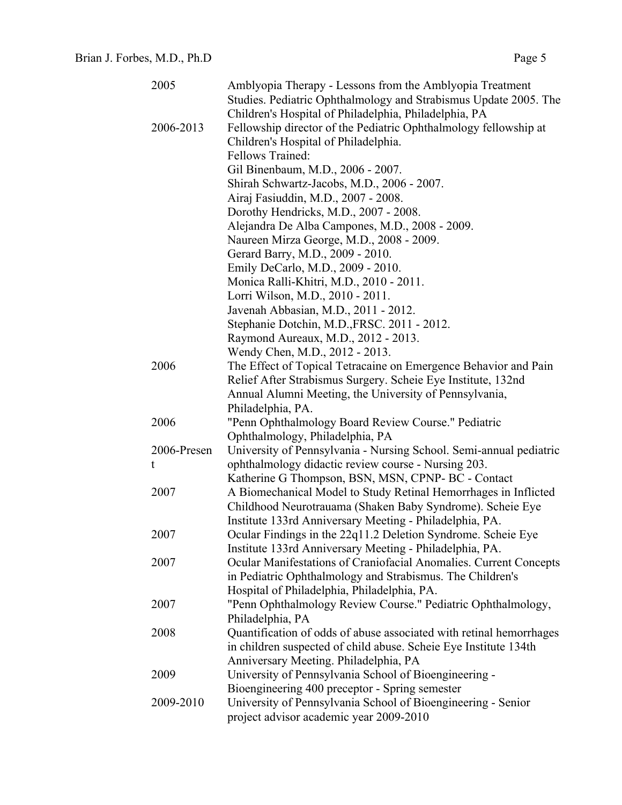| 2005        | Amblyopia Therapy - Lessons from the Amblyopia Treatment                                              |
|-------------|-------------------------------------------------------------------------------------------------------|
|             | Studies. Pediatric Ophthalmology and Strabismus Update 2005. The                                      |
|             | Children's Hospital of Philadelphia, Philadelphia, PA                                                 |
| 2006-2013   | Fellowship director of the Pediatric Ophthalmology fellowship at                                      |
|             | Children's Hospital of Philadelphia.                                                                  |
|             | Fellows Trained:                                                                                      |
|             | Gil Binenbaum, M.D., 2006 - 2007.                                                                     |
|             | Shirah Schwartz-Jacobs, M.D., 2006 - 2007.                                                            |
|             | Airaj Fasiuddin, M.D., 2007 - 2008.                                                                   |
|             | Dorothy Hendricks, M.D., 2007 - 2008.                                                                 |
|             | Alejandra De Alba Campones, M.D., 2008 - 2009.                                                        |
|             | Naureen Mirza George, M.D., 2008 - 2009.                                                              |
|             | Gerard Barry, M.D., 2009 - 2010.                                                                      |
|             | Emily DeCarlo, M.D., 2009 - 2010.                                                                     |
|             | Monica Ralli-Khitri, M.D., 2010 - 2011.                                                               |
|             | Lorri Wilson, M.D., 2010 - 2011.                                                                      |
|             | Javenah Abbasian, M.D., 2011 - 2012.                                                                  |
|             | Stephanie Dotchin, M.D., FRSC. 2011 - 2012.                                                           |
|             | Raymond Aureaux, M.D., 2012 - 2013.                                                                   |
|             | Wendy Chen, M.D., 2012 - 2013.                                                                        |
| 2006        | The Effect of Topical Tetracaine on Emergence Behavior and Pain                                       |
|             | Relief After Strabismus Surgery. Scheie Eye Institute, 132nd                                          |
|             | Annual Alumni Meeting, the University of Pennsylvania,                                                |
|             | Philadelphia, PA.                                                                                     |
| 2006        | "Penn Ophthalmology Board Review Course." Pediatric                                                   |
| 2006-Presen | Ophthalmology, Philadelphia, PA<br>University of Pennsylvania - Nursing School. Semi-annual pediatric |
| t           | ophthalmology didactic review course - Nursing 203.                                                   |
|             | Katherine G Thompson, BSN, MSN, CPNP-BC - Contact                                                     |
| 2007        | A Biomechanical Model to Study Retinal Hemorrhages in Inflicted                                       |
|             | Childhood Neurotrauama (Shaken Baby Syndrome). Scheie Eye                                             |
|             | Institute 133rd Anniversary Meeting - Philadelphia, PA.                                               |
| 2007        | Ocular Findings in the 22q11.2 Deletion Syndrome. Scheie Eye                                          |
|             | Institute 133rd Anniversary Meeting - Philadelphia, PA.                                               |
| 2007        | Ocular Manifestations of Craniofacial Anomalies. Current Concepts                                     |
|             | in Pediatric Ophthalmology and Strabismus. The Children's                                             |
|             | Hospital of Philadelphia, Philadelphia, PA.                                                           |
| 2007        | "Penn Ophthalmology Review Course." Pediatric Ophthalmology,                                          |
|             | Philadelphia, PA                                                                                      |
| 2008        | Quantification of odds of abuse associated with retinal hemorrhages                                   |
|             | in children suspected of child abuse. Scheie Eye Institute 134th                                      |
|             | Anniversary Meeting. Philadelphia, PA                                                                 |
| 2009        | University of Pennsylvania School of Bioengineering -                                                 |
|             | Bioengineering 400 preceptor - Spring semester                                                        |
| 2009-2010   | University of Pennsylvania School of Bioengineering - Senior                                          |
|             | project advisor academic year 2009-2010                                                               |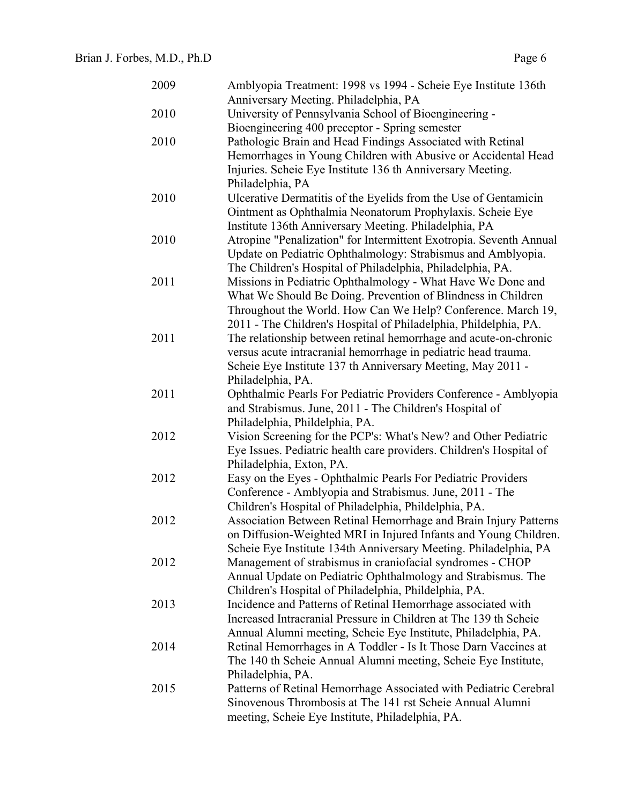| 2009 | Amblyopia Treatment: 1998 vs 1994 - Scheie Eye Institute 136th  |
|------|-----------------------------------------------------------------|
|      | Anniversary Meeting. Philadelphia, PA                           |
| 2010 | University of Pennsylvania School of Bioengineering -           |
|      | Bioengineering 400 preceptor - Spring semester                  |
| 2010 | Pathologic Brain and Head Findings Associated with Retinal      |
|      | Hemorrhages in Young Children with Abusive or Accidental Head   |
|      | Injuries. Scheie Eye Institute 136 th Anniversary Meeting.      |
|      | Philadelphia, PA                                                |
| 2010 | Ulcerative Dermatitis of the Eyelids from the Use of Gentamicin |
|      | Ointment as Ophthalmia Neonatorum Prophylaxis. Scheie Eye       |
|      |                                                                 |

|      | Bioengineering 400 preceptor - Spring semester                      |
|------|---------------------------------------------------------------------|
| 2010 | Pathologic Brain and Head Findings Associated with Retinal          |
|      | Hemorrhages in Young Children with Abusive or Accidental Head       |
|      | Injuries. Scheie Eye Institute 136 th Anniversary Meeting.          |
|      | Philadelphia, PA                                                    |
| 2010 | Ulcerative Dermatitis of the Eyelids from the Use of Gentamicin     |
|      | Ointment as Ophthalmia Neonatorum Prophylaxis. Scheie Eye           |
|      | Institute 136th Anniversary Meeting. Philadelphia, PA               |
| 2010 | Atropine "Penalization" for Intermittent Exotropia. Seventh Annual  |
|      | Update on Pediatric Ophthalmology: Strabismus and Amblyopia.        |
|      | The Children's Hospital of Philadelphia, Philadelphia, PA.          |
| 2011 | Missions in Pediatric Ophthalmology - What Have We Done and         |
|      | What We Should Be Doing. Prevention of Blindness in Children        |
|      | Throughout the World. How Can We Help? Conference. March 19,        |
|      | 2011 - The Children's Hospital of Philadelphia, Phildelphia, PA.    |
| 2011 | The relationship between retinal hemorrhage and acute-on-chronic    |
|      | versus acute intracranial hemorrhage in pediatric head trauma.      |
|      | Scheie Eye Institute 137 th Anniversary Meeting, May 2011 -         |
|      | Philadelphia, PA.                                                   |
| 2011 | Ophthalmic Pearls For Pediatric Providers Conference - Amblyopia    |
|      | and Strabismus. June, 2011 - The Children's Hospital of             |
|      | Philadelphia, Phildelphia, PA.                                      |
| 2012 | Vision Screening for the PCP's: What's New? and Other Pediatric     |
|      | Eye Issues. Pediatric health care providers. Children's Hospital of |
|      | Philadelphia, Exton, PA.                                            |
| 2012 | Easy on the Eyes - Ophthalmic Pearls For Pediatric Providers        |
|      | Conference - Amblyopia and Strabismus. June, 2011 - The             |
|      | Children's Hospital of Philadelphia, Phildelphia, PA.               |
| 2012 | Association Between Retinal Hemorrhage and Brain Injury Patterns    |
|      | on Diffusion-Weighted MRI in Injured Infants and Young Children.    |
|      | Scheie Eye Institute 134th Anniversary Meeting. Philadelphia, PA    |
| 2012 | Management of strabismus in craniofacial syndromes - CHOP           |
|      | Annual Update on Pediatric Ophthalmology and Strabismus. The        |
|      | Children's Hospital of Philadelphia, Phildelphia, PA.               |
| 2013 | Incidence and Patterns of Retinal Hemorrhage associated with        |
|      | Increased Intracranial Pressure in Children at The 139 th Scheie    |
|      | Annual Alumni meeting, Scheie Eye Institute, Philadelphia, PA.      |
| 2014 | Retinal Hemorrhages in A Toddler - Is It Those Darn Vaccines at     |
|      | The 140 th Scheie Annual Alumni meeting, Scheie Eye Institute,      |
|      | Philadelphia, PA.                                                   |
| 2015 | Patterns of Retinal Hemorrhage Associated with Pediatric Cerebral   |
|      | Sinovenous Thrombosis at The 141 rst Scheie Annual Alumni           |
|      | meeting, Scheie Eye Institute, Philadelphia, PA.                    |
|      |                                                                     |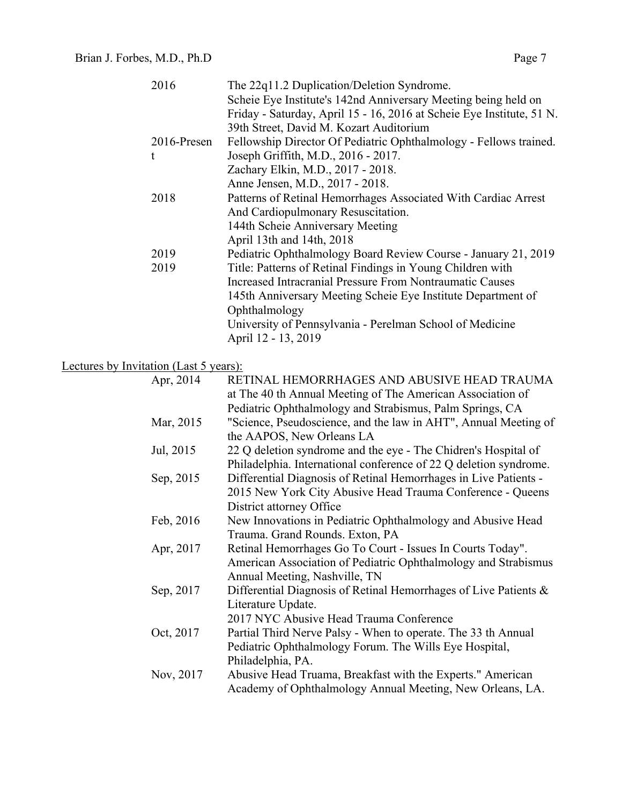|                                        | 2016        | The 22q11.2 Duplication/Deletion Syndrome.                            |
|----------------------------------------|-------------|-----------------------------------------------------------------------|
|                                        |             | Scheie Eye Institute's 142nd Anniversary Meeting being held on        |
|                                        |             | Friday - Saturday, April 15 - 16, 2016 at Scheie Eye Institute, 51 N. |
|                                        |             | 39th Street, David M. Kozart Auditorium                               |
|                                        | 2016-Presen | Fellowship Director Of Pediatric Ophthalmology - Fellows trained.     |
|                                        | t           | Joseph Griffith, M.D., 2016 - 2017.                                   |
|                                        |             | Zachary Elkin, M.D., 2017 - 2018.                                     |
|                                        |             | Anne Jensen, M.D., 2017 - 2018.                                       |
|                                        | 2018        | Patterns of Retinal Hemorrhages Associated With Cardiac Arrest        |
|                                        |             | And Cardiopulmonary Resuscitation.                                    |
|                                        |             | 144th Scheie Anniversary Meeting                                      |
|                                        |             | April 13th and 14th, 2018                                             |
|                                        | 2019        | Pediatric Ophthalmology Board Review Course - January 21, 2019        |
|                                        | 2019        | Title: Patterns of Retinal Findings in Young Children with            |
|                                        |             | Increased Intracranial Pressure From Nontraumatic Causes              |
|                                        |             | 145th Anniversary Meeting Scheie Eye Institute Department of          |
|                                        |             | Ophthalmology                                                         |
|                                        |             | University of Pennsylvania - Perelman School of Medicine              |
|                                        |             | April 12 - 13, 2019                                                   |
|                                        |             |                                                                       |
| Lectures by Invitation (Last 5 years): |             |                                                                       |
|                                        | Apr, 2014   | RETINAL HEMORRHAGES AND ABUSIVE HEAD TRAUMA                           |
|                                        |             | at The 40 th Annual Meeting of The American Association of            |
|                                        |             | Pediatric Ophthalmology and Strabismus, Palm Springs, CA              |
|                                        | Mar, 2015   | "Science, Pseudoscience, and the law in AHT", Annual Meeting of       |
|                                        |             | the AAPOS, New Orleans LA                                             |
|                                        | Jul, 2015   | 22 Q deletion syndrome and the eye - The Chidren's Hospital of        |
|                                        |             | Philadelphia. International conference of 22 Q deletion syndrome.     |
|                                        | Sep, 2015   | Differential Diagnosis of Retinal Hemorrhages in Live Patients -      |
|                                        |             | 2015 New York City Abusive Head Trauma Conference - Queens            |
|                                        |             |                                                                       |
|                                        |             | District attorney Office                                              |
|                                        | Feb, 2016   | New Innovations in Pediatric Ophthalmology and Abusive Head           |
|                                        | Apr, 2017   | Trauma. Grand Rounds. Exton, PA                                       |
|                                        |             | Retinal Hemorrhages Go To Court - Issues In Courts Today".            |
|                                        |             | American Association of Pediatric Ophthalmology and Strabismus        |
|                                        |             | Annual Meeting, Nashville, TN                                         |
|                                        | Sep, 2017   | Differential Diagnosis of Retinal Hemorrhages of Live Patients &      |
|                                        |             | Literature Update.                                                    |
|                                        |             | 2017 NYC Abusive Head Trauma Conference                               |
|                                        | Oct, 2017   | Partial Third Nerve Palsy - When to operate. The 33 th Annual         |
|                                        |             | Pediatric Ophthalmology Forum. The Wills Eye Hospital,                |
|                                        |             | Philadelphia, PA.                                                     |
|                                        | Nov, 2017   | Abusive Head Truama, Breakfast with the Experts." American            |
|                                        |             | Academy of Ophthalmology Annual Meeting, New Orleans, LA.             |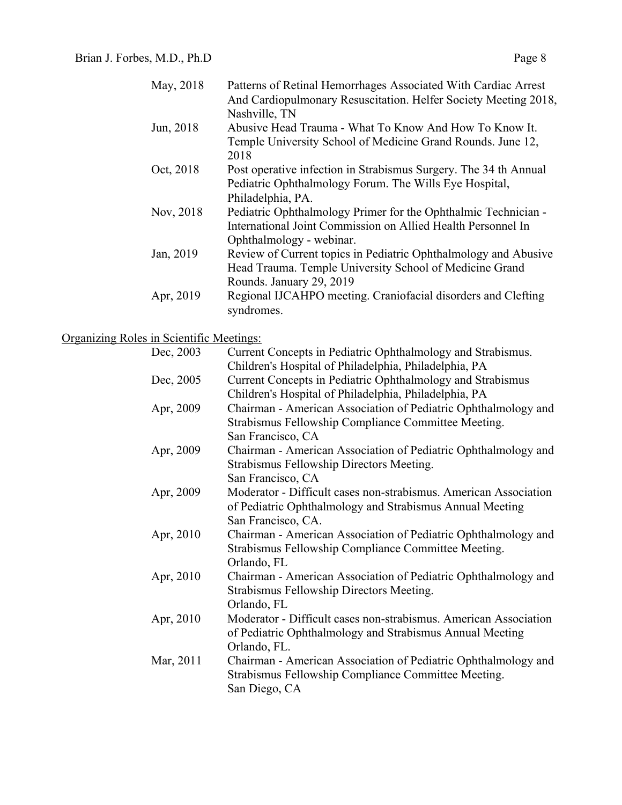| May, 2018 | Patterns of Retinal Hemorrhages Associated With Cardiac Arrest<br>And Cardiopulmonary Resuscitation. Helfer Society Meeting 2018, |
|-----------|-----------------------------------------------------------------------------------------------------------------------------------|
|           | Nashville, TN                                                                                                                     |
| Jun, 2018 | Abusive Head Trauma - What To Know And How To Know It.                                                                            |
|           | Temple University School of Medicine Grand Rounds. June 12,                                                                       |
|           | 2018                                                                                                                              |
| Oct, 2018 | Post operative infection in Strabismus Surgery. The 34 th Annual                                                                  |
|           | Pediatric Ophthalmology Forum. The Wills Eye Hospital,                                                                            |
|           | Philadelphia, PA.                                                                                                                 |
| Nov, 2018 | Pediatric Ophthalmology Primer for the Ophthalmic Technician -                                                                    |
|           | International Joint Commission on Allied Health Personnel In                                                                      |
|           | Ophthalmology - webinar.                                                                                                          |
| Jan, 2019 | Review of Current topics in Pediatric Ophthalmology and Abusive                                                                   |
|           | Head Trauma. Temple University School of Medicine Grand                                                                           |
|           | Rounds. January 29, 2019                                                                                                          |
| Apr, 2019 | Regional IJCAHPO meeting. Craniofacial disorders and Clefting                                                                     |
|           | syndromes.                                                                                                                        |

# Organizing Roles in Scientific Meetings:

| Dec, 2003 | Current Concepts in Pediatric Ophthalmology and Strabismus.<br>Children's Hospital of Philadelphia, Philadelphia, PA                               |
|-----------|----------------------------------------------------------------------------------------------------------------------------------------------------|
| Dec, 2005 | Current Concepts in Pediatric Ophthalmology and Strabismus<br>Children's Hospital of Philadelphia, Philadelphia, PA                                |
| Apr, 2009 | Chairman - American Association of Pediatric Ophthalmology and<br>Strabismus Fellowship Compliance Committee Meeting.<br>San Francisco, CA         |
| Apr, 2009 | Chairman - American Association of Pediatric Ophthalmology and<br>Strabismus Fellowship Directors Meeting.<br>San Francisco, CA                    |
| Apr, 2009 | Moderator - Difficult cases non-strabismus. American Association<br>of Pediatric Ophthalmology and Strabismus Annual Meeting<br>San Francisco, CA. |
| Apr, 2010 | Chairman - American Association of Pediatric Ophthalmology and<br>Strabismus Fellowship Compliance Committee Meeting.<br>Orlando, FL               |
| Apr, 2010 | Chairman - American Association of Pediatric Ophthalmology and<br>Strabismus Fellowship Directors Meeting.<br>Orlando, FL                          |
| Apr, 2010 | Moderator - Difficult cases non-strabismus. American Association<br>of Pediatric Ophthalmology and Strabismus Annual Meeting<br>Orlando, FL.       |
| Mar, 2011 | Chairman - American Association of Pediatric Ophthalmology and<br>Strabismus Fellowship Compliance Committee Meeting.<br>San Diego, CA             |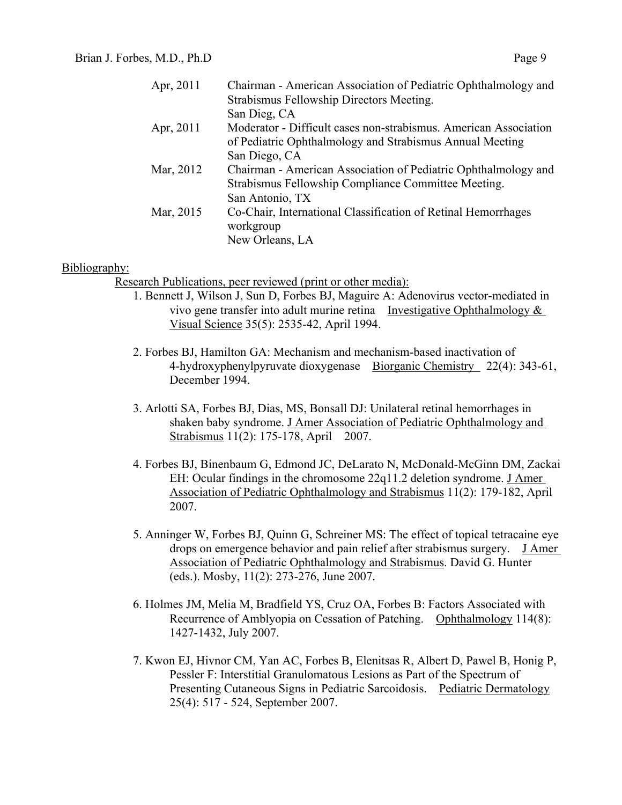| Apr, 2011 | Chairman - American Association of Pediatric Ophthalmology and   |
|-----------|------------------------------------------------------------------|
|           | Strabismus Fellowship Directors Meeting.                         |
|           | San Dieg, CA                                                     |
| Apr, 2011 | Moderator - Difficult cases non-strabismus. American Association |
|           | of Pediatric Ophthalmology and Strabismus Annual Meeting         |
|           | San Diego, CA                                                    |
| Mar, 2012 | Chairman - American Association of Pediatric Ophthalmology and   |
|           | Strabismus Fellowship Compliance Committee Meeting.              |
|           | San Antonio, TX                                                  |
| Mar, 2015 | Co-Chair, International Classification of Retinal Hemorrhages    |
|           | workgroup                                                        |
|           | New Orleans, LA                                                  |
|           |                                                                  |

### Bibliography:

Research Publications, peer reviewed (print or other media):

- 1. Bennett J, Wilson J, Sun D, Forbes BJ, Maguire A: Adenovirus vector-mediated in vivo gene transfer into adult murine retina Investigative Ophthalmology & Visual Science 35(5): 2535-42, April 1994.
- 2. Forbes BJ, Hamilton GA: Mechanism and mechanism-based inactivation of 4-hydroxyphenylpyruvate dioxygenase Biorganic Chemistry 22(4): 343-61, December 1994.
- 3. Arlotti SA, Forbes BJ, Dias, MS, Bonsall DJ: Unilateral retinal hemorrhages in shaken baby syndrome. J Amer Association of Pediatric Ophthalmology and Strabismus 11(2): 175-178, April 2007.
- 4. Forbes BJ, Binenbaum G, Edmond JC, DeLarato N, McDonald-McGinn DM, Zackai EH: Ocular findings in the chromosome 22q11.2 deletion syndrome. J Amer Association of Pediatric Ophthalmology and Strabismus 11(2): 179-182, April 2007.
- 5. Anninger W, Forbes BJ, Quinn G, Schreiner MS: The effect of topical tetracaine eye drops on emergence behavior and pain relief after strabismus surgery. J Amer Association of Pediatric Ophthalmology and Strabismus. David G. Hunter (eds.). Mosby, 11(2): 273-276, June 2007.
- 6. Holmes JM, Melia M, Bradfield YS, Cruz OA, Forbes B: Factors Associated with Recurrence of Amblyopia on Cessation of Patching. Ophthalmology 114(8): 1427-1432, July 2007.
- 7. Kwon EJ, Hivnor CM, Yan AC, Forbes B, Elenitsas R, Albert D, Pawel B, Honig P, Pessler F: Interstitial Granulomatous Lesions as Part of the Spectrum of Presenting Cutaneous Signs in Pediatric Sarcoidosis. Pediatric Dermatology 25(4): 517 - 524, September 2007.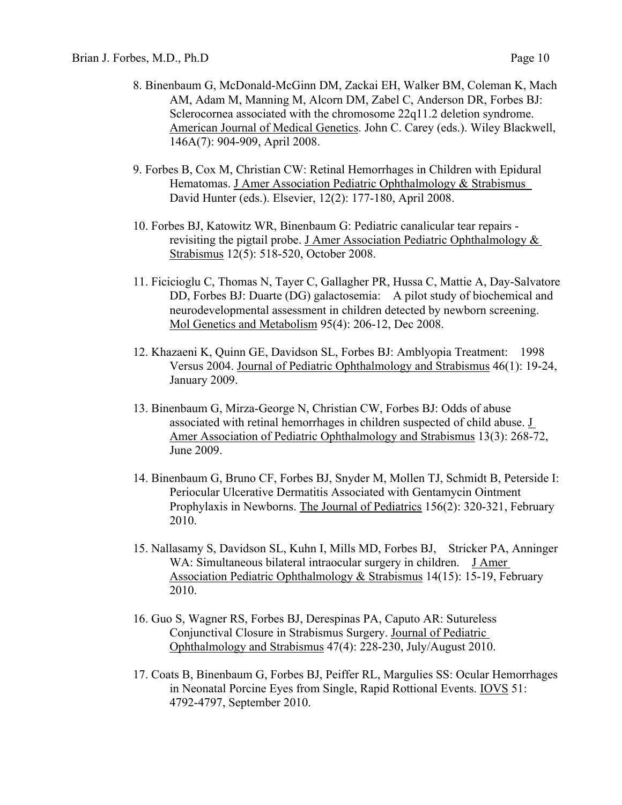- 8. Binenbaum G, McDonald-McGinn DM, Zackai EH, Walker BM, Coleman K, Mach AM, Adam M, Manning M, Alcorn DM, Zabel C, Anderson DR, Forbes BJ: Sclerocornea associated with the chromosome 22q11.2 deletion syndrome. American Journal of Medical Genetics. John C. Carey (eds.). Wiley Blackwell, 146A(7): 904-909, April 2008.
- 9. Forbes B, Cox M, Christian CW: Retinal Hemorrhages in Children with Epidural Hematomas. J Amer Association Pediatric Ophthalmology & Strabismus David Hunter (eds.). Elsevier, 12(2): 177-180, April 2008.
- 10. Forbes BJ, Katowitz WR, Binenbaum G: Pediatric canalicular tear repairs revisiting the pigtail probe. J Amer Association Pediatric Ophthalmology  $\&$ Strabismus 12(5): 518-520, October 2008.
- 11. Ficicioglu C, Thomas N, Tayer C, Gallagher PR, Hussa C, Mattie A, Day-Salvatore DD, Forbes BJ: Duarte (DG) galactosemia: A pilot study of biochemical and neurodevelopmental assessment in children detected by newborn screening. Mol Genetics and Metabolism 95(4): 206-12, Dec 2008.
- 12. Khazaeni K, Quinn GE, Davidson SL, Forbes BJ: Amblyopia Treatment: 1998 Versus 2004. Journal of Pediatric Ophthalmology and Strabismus 46(1): 19-24, January 2009.
- 13. Binenbaum G, Mirza-George N, Christian CW, Forbes BJ: Odds of abuse associated with retinal hemorrhages in children suspected of child abuse. J Amer Association of Pediatric Ophthalmology and Strabismus 13(3): 268-72, June 2009.
- 14. Binenbaum G, Bruno CF, Forbes BJ, Snyder M, Mollen TJ, Schmidt B, Peterside I: Periocular Ulcerative Dermatitis Associated with Gentamycin Ointment Prophylaxis in Newborns. The Journal of Pediatrics 156(2): 320-321, February 2010.
- 15. Nallasamy S, Davidson SL, Kuhn I, Mills MD, Forbes BJ, Stricker PA, Anninger WA: Simultaneous bilateral intraocular surgery in children. J Amer Association Pediatric Ophthalmology & Strabismus 14(15): 15-19, February 2010.
- 16. Guo S, Wagner RS, Forbes BJ, Derespinas PA, Caputo AR: Sutureless Conjunctival Closure in Strabismus Surgery. Journal of Pediatric Ophthalmology and Strabismus 47(4): 228-230, July/August 2010.
- 17. Coats B, Binenbaum G, Forbes BJ, Peiffer RL, Margulies SS: Ocular Hemorrhages in Neonatal Porcine Eyes from Single, Rapid Rottional Events. IOVS 51: 4792-4797, September 2010.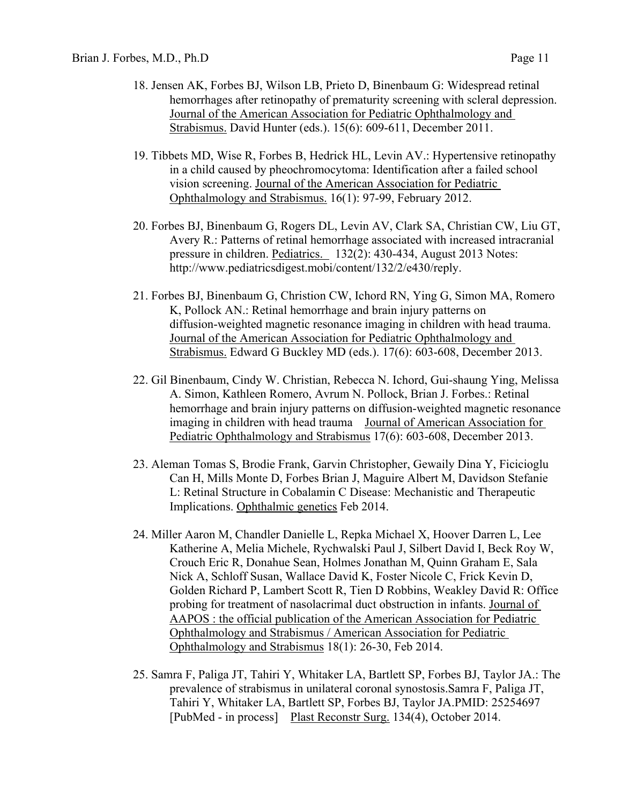- 18. Jensen AK, Forbes BJ, Wilson LB, Prieto D, Binenbaum G: Widespread retinal hemorrhages after retinopathy of prematurity screening with scleral depression. Journal of the American Association for Pediatric Ophthalmology and Strabismus. David Hunter (eds.). 15(6): 609-611, December 2011.
- 19. Tibbets MD, Wise R, Forbes B, Hedrick HL, Levin AV.: Hypertensive retinopathy in a child caused by pheochromocytoma: Identification after a failed school vision screening. Journal of the American Association for Pediatric Ophthalmology and Strabismus. 16(1): 97-99, February 2012.
- 20. Forbes BJ, Binenbaum G, Rogers DL, Levin AV, Clark SA, Christian CW, Liu GT, Avery R.: Patterns of retinal hemorrhage associated with increased intracranial pressure in children. Pediatrics. 132(2): 430-434, August 2013 Notes: http://www.pediatricsdigest.mobi/content/132/2/e430/reply.
- 21. Forbes BJ, Binenbaum G, Christion CW, Ichord RN, Ying G, Simon MA, Romero K, Pollock AN.: Retinal hemorrhage and brain injury patterns on diffusion-weighted magnetic resonance imaging in children with head trauma. Journal of the American Association for Pediatric Ophthalmology and Strabismus. Edward G Buckley MD (eds.). 17(6): 603-608, December 2013.
- 22. Gil Binenbaum, Cindy W. Christian, Rebecca N. Ichord, Gui-shaung Ying, Melissa A. Simon, Kathleen Romero, Avrum N. Pollock, Brian J. Forbes.: Retinal hemorrhage and brain injury patterns on diffusion-weighted magnetic resonance imaging in children with head trauma Journal of American Association for Pediatric Ophthalmology and Strabismus 17(6): 603-608, December 2013.
- 23. Aleman Tomas S, Brodie Frank, Garvin Christopher, Gewaily Dina Y, Ficicioglu Can H, Mills Monte D, Forbes Brian J, Maguire Albert M, Davidson Stefanie L: Retinal Structure in Cobalamin C Disease: Mechanistic and Therapeutic Implications. Ophthalmic genetics Feb 2014.
- 24. Miller Aaron M, Chandler Danielle L, Repka Michael X, Hoover Darren L, Lee Katherine A, Melia Michele, Rychwalski Paul J, Silbert David I, Beck Roy W, Crouch Eric R, Donahue Sean, Holmes Jonathan M, Quinn Graham E, Sala Nick A, Schloff Susan, Wallace David K, Foster Nicole C, Frick Kevin D, Golden Richard P, Lambert Scott R, Tien D Robbins, Weakley David R: Office probing for treatment of nasolacrimal duct obstruction in infants. Journal of AAPOS : the official publication of the American Association for Pediatric Ophthalmology and Strabismus / American Association for Pediatric Ophthalmology and Strabismus 18(1): 26-30, Feb 2014.
- 25. Samra F, Paliga JT, Tahiri Y, Whitaker LA, Bartlett SP, Forbes BJ, Taylor JA.: The prevalence of strabismus in unilateral coronal synostosis.Samra F, Paliga JT, Tahiri Y, Whitaker LA, Bartlett SP, Forbes BJ, Taylor JA.PMID: 25254697 [PubMed - in process] Plast Reconstr Surg. 134(4), October 2014.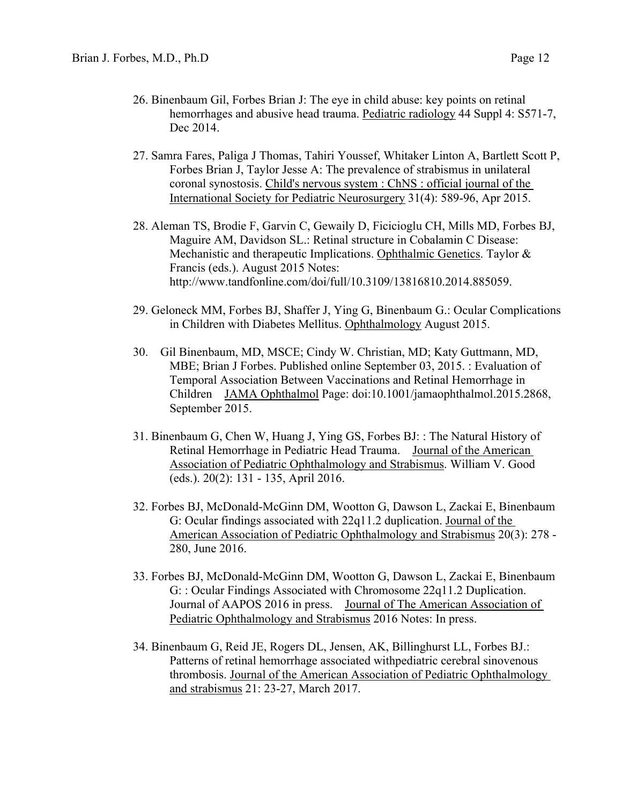- 26. Binenbaum Gil, Forbes Brian J: The eye in child abuse: key points on retinal hemorrhages and abusive head trauma. Pediatric radiology 44 Suppl 4: S571-7, Dec 2014.
- 27. Samra Fares, Paliga J Thomas, Tahiri Youssef, Whitaker Linton A, Bartlett Scott P, Forbes Brian J, Taylor Jesse A: The prevalence of strabismus in unilateral coronal synostosis. Child's nervous system : ChNS : official journal of the International Society for Pediatric Neurosurgery 31(4): 589-96, Apr 2015.
- 28. Aleman TS, Brodie F, Garvin C, Gewaily D, Ficicioglu CH, Mills MD, Forbes BJ, Maguire AM, Davidson SL.: Retinal structure in Cobalamin C Disease: Mechanistic and therapeutic Implications. Ophthalmic Genetics. Taylor & Francis (eds.). August 2015 Notes: http://www.tandfonline.com/doi/full/10.3109/13816810.2014.885059.
- 29. Geloneck MM, Forbes BJ, Shaffer J, Ying G, Binenbaum G.: Ocular Complications in Children with Diabetes Mellitus. Ophthalmology August 2015.
- 30. Gil Binenbaum, MD, MSCE; Cindy W. Christian, MD; Katy Guttmann, MD, MBE; Brian J Forbes. Published online September 03, 2015. : Evaluation of Temporal Association Between Vaccinations and Retinal Hemorrhage in Children JAMA Ophthalmol Page: doi:10.1001/jamaophthalmol.2015.2868, September 2015.
- 31. Binenbaum G, Chen W, Huang J, Ying GS, Forbes BJ: : The Natural History of Retinal Hemorrhage in Pediatric Head Trauma. Journal of the American Association of Pediatric Ophthalmology and Strabismus. William V. Good (eds.). 20(2): 131 - 135, April 2016.
- 32. Forbes BJ, McDonald-McGinn DM, Wootton G, Dawson L, Zackai E, Binenbaum G: Ocular findings associated with 22q11.2 duplication. Journal of the American Association of Pediatric Ophthalmology and Strabismus 20(3): 278 - 280, June 2016.
- 33. Forbes BJ, McDonald-McGinn DM, Wootton G, Dawson L, Zackai E, Binenbaum G: : Ocular Findings Associated with Chromosome 22q11.2 Duplication. Journal of AAPOS 2016 in press. Journal of The American Association of Pediatric Ophthalmology and Strabismus 2016 Notes: In press.
- 34. Binenbaum G, Reid JE, Rogers DL, Jensen, AK, Billinghurst LL, Forbes BJ.: Patterns of retinal hemorrhage associated withpediatric cerebral sinovenous thrombosis. Journal of the American Association of Pediatric Ophthalmology and strabismus 21: 23-27, March 2017.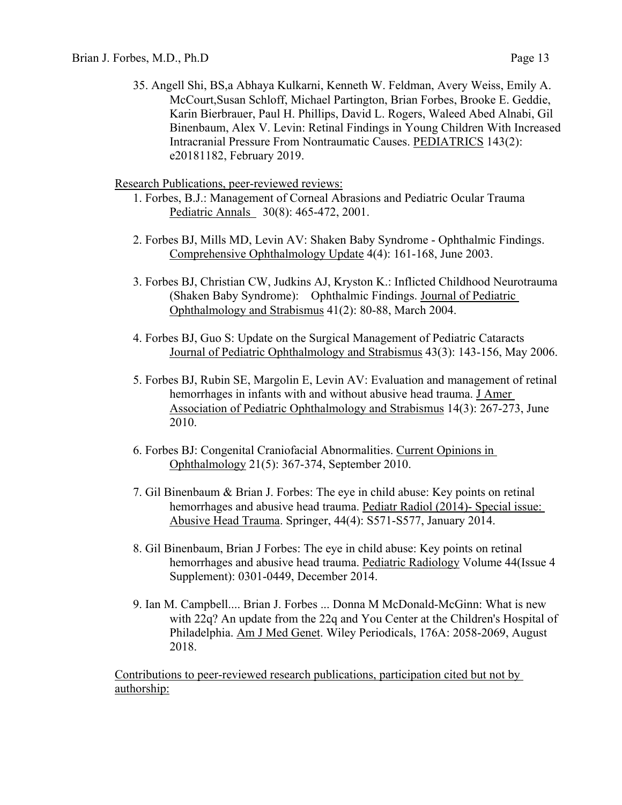35. Angell Shi, BS,a Abhaya Kulkarni, Kenneth W. Feldman, Avery Weiss, Emily A. McCourt,Susan Schloff, Michael Partington, Brian Forbes, Brooke E. Geddie, Karin Bierbrauer, Paul H. Phillips, David L. Rogers, Waleed Abed Alnabi, Gil Binenbaum, Alex V. Levin: Retinal Findings in Young Children With Increased Intracranial Pressure From Nontraumatic Causes. PEDIATRICS 143(2): e20181182, February 2019.

Research Publications, peer-reviewed reviews:

- 1. Forbes, B.J.: Management of Corneal Abrasions and Pediatric Ocular Trauma Pediatric Annals 30(8): 465-472, 2001.
- 2. Forbes BJ, Mills MD, Levin AV: Shaken Baby Syndrome Ophthalmic Findings. Comprehensive Ophthalmology Update 4(4): 161-168, June 2003.
- 3. Forbes BJ, Christian CW, Judkins AJ, Kryston K.: Inflicted Childhood Neurotrauma (Shaken Baby Syndrome): Ophthalmic Findings. Journal of Pediatric Ophthalmology and Strabismus 41(2): 80-88, March 2004.
- 4. Forbes BJ, Guo S: Update on the Surgical Management of Pediatric Cataracts Journal of Pediatric Ophthalmology and Strabismus 43(3): 143-156, May 2006.
- 5. Forbes BJ, Rubin SE, Margolin E, Levin AV: Evaluation and management of retinal hemorrhages in infants with and without abusive head trauma. J Amer Association of Pediatric Ophthalmology and Strabismus 14(3): 267-273, June 2010.
- 6. Forbes BJ: Congenital Craniofacial Abnormalities. Current Opinions in Ophthalmology 21(5): 367-374, September 2010.
- 7. Gil Binenbaum & Brian J. Forbes: The eye in child abuse: Key points on retinal hemorrhages and abusive head trauma. Pediatr Radiol (2014)- Special issue: Abusive Head Trauma. Springer, 44(4): S571-S577, January 2014.
- 8. Gil Binenbaum, Brian J Forbes: The eye in child abuse: Key points on retinal hemorrhages and abusive head trauma. Pediatric Radiology Volume 44(Issue 4 Supplement): 0301-0449, December 2014.
- 9. Ian M. Campbell.... Brian J. Forbes ... Donna M McDonald-McGinn: What is new with 22q? An update from the 22q and You Center at the Children's Hospital of Philadelphia. Am J Med Genet. Wiley Periodicals, 176A: 2058-2069, August 2018.

Contributions to peer-reviewed research publications, participation cited but not by authorship: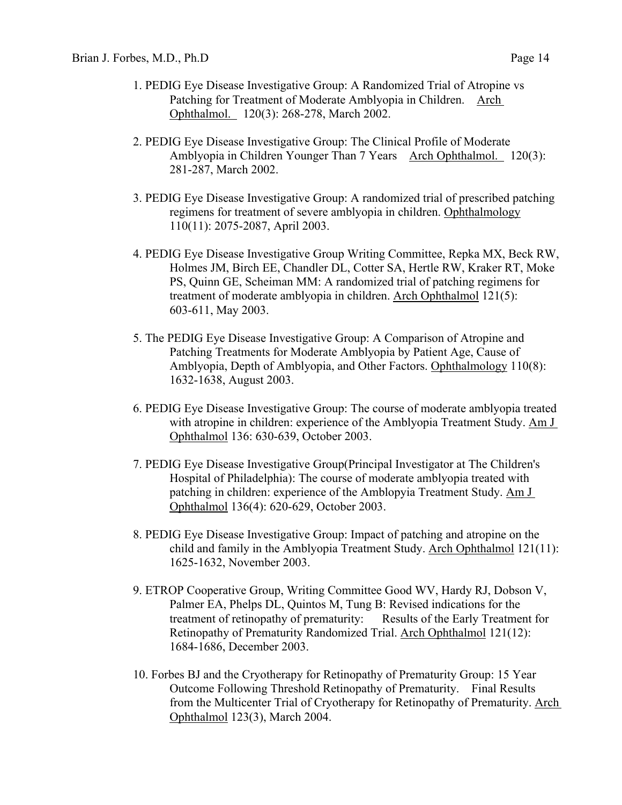- 1. PEDIG Eye Disease Investigative Group: A Randomized Trial of Atropine vs Patching for Treatment of Moderate Amblyopia in Children. Arch Ophthalmol. 120(3): 268-278, March 2002.
- 2. PEDIG Eye Disease Investigative Group: The Clinical Profile of Moderate Amblyopia in Children Younger Than 7 Years Arch Ophthalmol. 120(3): 281-287, March 2002.
- 3. PEDIG Eye Disease Investigative Group: A randomized trial of prescribed patching regimens for treatment of severe amblyopia in children. Ophthalmology 110(11): 2075-2087, April 2003.
- 4. PEDIG Eye Disease Investigative Group Writing Committee, Repka MX, Beck RW, Holmes JM, Birch EE, Chandler DL, Cotter SA, Hertle RW, Kraker RT, Moke PS, Quinn GE, Scheiman MM: A randomized trial of patching regimens for treatment of moderate amblyopia in children. Arch Ophthalmol 121(5): 603-611, May 2003.
- 5. The PEDIG Eye Disease Investigative Group: A Comparison of Atropine and Patching Treatments for Moderate Amblyopia by Patient Age, Cause of Amblyopia, Depth of Amblyopia, and Other Factors. Ophthalmology 110(8): 1632-1638, August 2003.
- 6. PEDIG Eye Disease Investigative Group: The course of moderate amblyopia treated with atropine in children: experience of the Amblyopia Treatment Study. Am J Ophthalmol 136: 630-639, October 2003.
- 7. PEDIG Eye Disease Investigative Group(Principal Investigator at The Children's Hospital of Philadelphia): The course of moderate amblyopia treated with patching in children: experience of the Amblopyia Treatment Study. Am J Ophthalmol 136(4): 620-629, October 2003.
- 8. PEDIG Eye Disease Investigative Group: Impact of patching and atropine on the child and family in the Amblyopia Treatment Study. Arch Ophthalmol 121(11): 1625-1632, November 2003.
- 9. ETROP Cooperative Group, Writing Committee Good WV, Hardy RJ, Dobson V, Palmer EA, Phelps DL, Quintos M, Tung B: Revised indications for the treatment of retinopathy of prematurity: Results of the Early Treatment for Retinopathy of Prematurity Randomized Trial. Arch Ophthalmol 121(12): 1684-1686, December 2003.
- 10. Forbes BJ and the Cryotherapy for Retinopathy of Prematurity Group: 15 Year Outcome Following Threshold Retinopathy of Prematurity. Final Results from the Multicenter Trial of Cryotherapy for Retinopathy of Prematurity. Arch Ophthalmol 123(3), March 2004.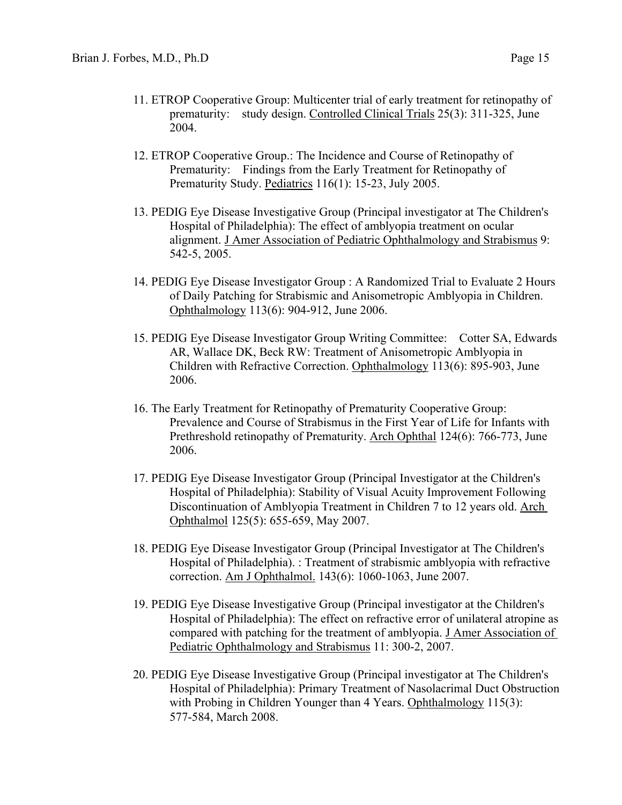- 11. ETROP Cooperative Group: Multicenter trial of early treatment for retinopathy of prematurity: study design. Controlled Clinical Trials 25(3): 311-325, June 2004.
- 12. ETROP Cooperative Group.: The Incidence and Course of Retinopathy of Prematurity: Findings from the Early Treatment for Retinopathy of Prematurity Study. Pediatrics 116(1): 15-23, July 2005.
- 13. PEDIG Eye Disease Investigative Group (Principal investigator at The Children's Hospital of Philadelphia): The effect of amblyopia treatment on ocular alignment. J Amer Association of Pediatric Ophthalmology and Strabismus 9: 542-5, 2005.
- 14. PEDIG Eye Disease Investigator Group : A Randomized Trial to Evaluate 2 Hours of Daily Patching for Strabismic and Anisometropic Amblyopia in Children. Ophthalmology 113(6): 904-912, June 2006.
- 15. PEDIG Eye Disease Investigator Group Writing Committee: Cotter SA, Edwards AR, Wallace DK, Beck RW: Treatment of Anisometropic Amblyopia in Children with Refractive Correction. Ophthalmology 113(6): 895-903, June 2006.
- 16. The Early Treatment for Retinopathy of Prematurity Cooperative Group: Prevalence and Course of Strabismus in the First Year of Life for Infants with Prethreshold retinopathy of Prematurity. Arch Ophthal 124(6): 766-773, June 2006.
- 17. PEDIG Eye Disease Investigator Group (Principal Investigator at the Children's Hospital of Philadelphia): Stability of Visual Acuity Improvement Following Discontinuation of Amblyopia Treatment in Children 7 to 12 years old. Arch Ophthalmol 125(5): 655-659, May 2007.
- 18. PEDIG Eye Disease Investigator Group (Principal Investigator at The Children's Hospital of Philadelphia). : Treatment of strabismic amblyopia with refractive correction. Am J Ophthalmol. 143(6): 1060-1063, June 2007.
- 19. PEDIG Eye Disease Investigative Group (Principal investigator at the Children's Hospital of Philadelphia): The effect on refractive error of unilateral atropine as compared with patching for the treatment of amblyopia. J Amer Association of Pediatric Ophthalmology and Strabismus 11: 300-2, 2007.
- 20. PEDIG Eye Disease Investigative Group (Principal investigator at The Children's Hospital of Philadelphia): Primary Treatment of Nasolacrimal Duct Obstruction with Probing in Children Younger than 4 Years. Ophthalmology 115(3): 577-584, March 2008.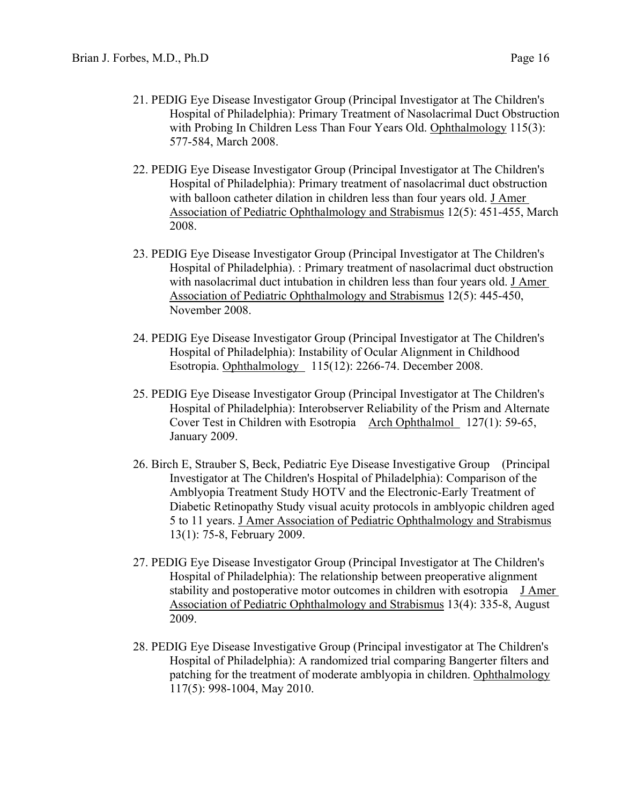- 21. PEDIG Eye Disease Investigator Group (Principal Investigator at The Children's Hospital of Philadelphia): Primary Treatment of Nasolacrimal Duct Obstruction with Probing In Children Less Than Four Years Old. Ophthalmology 115(3): 577-584, March 2008.
- 22. PEDIG Eye Disease Investigator Group (Principal Investigator at The Children's Hospital of Philadelphia): Primary treatment of nasolacrimal duct obstruction with balloon catheter dilation in children less than four years old. J Amer Association of Pediatric Ophthalmology and Strabismus 12(5): 451-455, March 2008.
- 23. PEDIG Eye Disease Investigator Group (Principal Investigator at The Children's Hospital of Philadelphia). : Primary treatment of nasolacrimal duct obstruction with nasolacrimal duct intubation in children less than four years old. J Amer Association of Pediatric Ophthalmology and Strabismus 12(5): 445-450, November 2008.
- 24. PEDIG Eye Disease Investigator Group (Principal Investigator at The Children's Hospital of Philadelphia): Instability of Ocular Alignment in Childhood Esotropia. Ophthalmology 115(12): 2266-74. December 2008.
- 25. PEDIG Eye Disease Investigator Group (Principal Investigator at The Children's Hospital of Philadelphia): Interobserver Reliability of the Prism and Alternate Cover Test in Children with Esotropia Arch Ophthalmol 127(1): 59-65, January 2009.
- 26. Birch E, Strauber S, Beck, Pediatric Eye Disease Investigative Group (Principal Investigator at The Children's Hospital of Philadelphia): Comparison of the Amblyopia Treatment Study HOTV and the Electronic-Early Treatment of Diabetic Retinopathy Study visual acuity protocols in amblyopic children aged 5 to 11 years. J Amer Association of Pediatric Ophthalmology and Strabismus 13(1): 75-8, February 2009.
- 27. PEDIG Eye Disease Investigator Group (Principal Investigator at The Children's Hospital of Philadelphia): The relationship between preoperative alignment stability and postoperative motor outcomes in children with esotropia J Amer Association of Pediatric Ophthalmology and Strabismus 13(4): 335-8, August 2009.
- 28. PEDIG Eye Disease Investigative Group (Principal investigator at The Children's Hospital of Philadelphia): A randomized trial comparing Bangerter filters and patching for the treatment of moderate amblyopia in children. Ophthalmology 117(5): 998-1004, May 2010.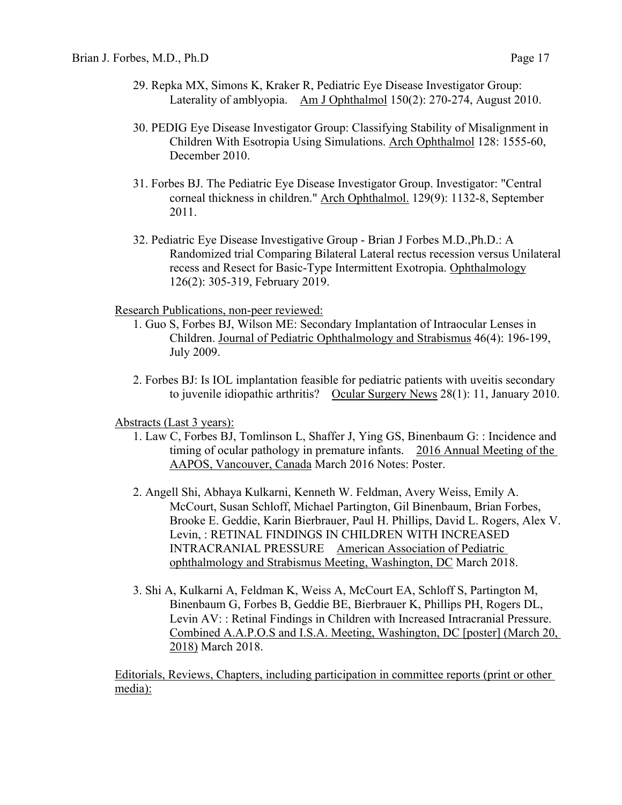- 29. Repka MX, Simons K, Kraker R, Pediatric Eye Disease Investigator Group: Laterality of amblyopia. Am J Ophthalmol 150(2): 270-274, August 2010.
- 30. PEDIG Eye Disease Investigator Group: Classifying Stability of Misalignment in Children With Esotropia Using Simulations. Arch Ophthalmol 128: 1555-60, December 2010.
- 31. Forbes BJ. The Pediatric Eye Disease Investigator Group. Investigator: "Central corneal thickness in children." Arch Ophthalmol. 129(9): 1132-8, September 2011.
- 32. Pediatric Eye Disease Investigative Group Brian J Forbes M.D.,Ph.D.: A Randomized trial Comparing Bilateral Lateral rectus recession versus Unilateral recess and Resect for Basic-Type Intermittent Exotropia. Ophthalmology 126(2): 305-319, February 2019.

Research Publications, non-peer reviewed:

- 1. Guo S, Forbes BJ, Wilson ME: Secondary Implantation of Intraocular Lenses in Children. Journal of Pediatric Ophthalmology and Strabismus 46(4): 196-199, July 2009.
- 2. Forbes BJ: Is IOL implantation feasible for pediatric patients with uveitis secondary to juvenile idiopathic arthritis? Ocular Surgery News 28(1): 11, January 2010.

## Abstracts (Last 3 years):

- 1. Law C, Forbes BJ, Tomlinson L, Shaffer J, Ying GS, Binenbaum G: : Incidence and timing of ocular pathology in premature infants. 2016 Annual Meeting of the AAPOS, Vancouver, Canada March 2016 Notes: Poster.
- 2. Angell Shi, Abhaya Kulkarni, Kenneth W. Feldman, Avery Weiss, Emily A. McCourt, Susan Schloff, Michael Partington, Gil Binenbaum, Brian Forbes, Brooke E. Geddie, Karin Bierbrauer, Paul H. Phillips, David L. Rogers, Alex V. Levin, : RETINAL FINDINGS IN CHILDREN WITH INCREASED INTRACRANIAL PRESSURE American Association of Pediatric ophthalmology and Strabismus Meeting, Washington, DC March 2018.
- 3. Shi A, Kulkarni A, Feldman K, Weiss A, McCourt EA, Schloff S, Partington M, Binenbaum G, Forbes B, Geddie BE, Bierbrauer K, Phillips PH, Rogers DL, Levin AV: : Retinal Findings in Children with Increased Intracranial Pressure. Combined A.A.P.O.S and I.S.A. Meeting, Washington, DC [poster] (March 20, 2018) March 2018.

Editorials, Reviews, Chapters, including participation in committee reports (print or other media):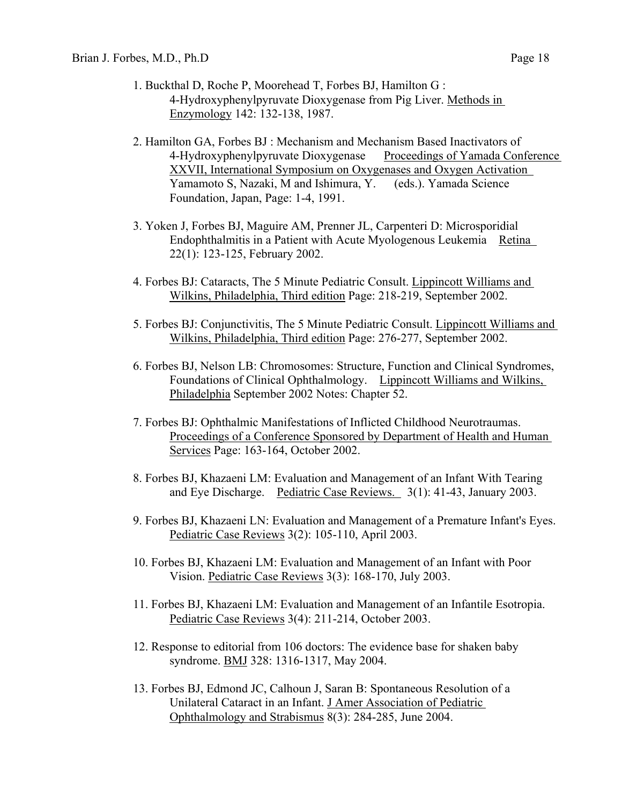- 1. Buckthal D, Roche P, Moorehead T, Forbes BJ, Hamilton G : 4-Hydroxyphenylpyruvate Dioxygenase from Pig Liver. Methods in Enzymology 142: 132-138, 1987.
- 2. Hamilton GA, Forbes BJ : Mechanism and Mechanism Based Inactivators of 4-Hydroxyphenylpyruvate Dioxygenase Proceedings of Yamada Conference XXVII, International Symposium on Oxygenases and Oxygen Activation<br>Yamamoto S, Nazaki, M and Ishimura, Y. (eds.). Yamada Science Yamamoto S, Nazaki, M and Ishimura, Y. Foundation, Japan, Page: 1-4, 1991.
- 3. Yoken J, Forbes BJ, Maguire AM, Prenner JL, Carpenteri D: Microsporidial Endophthalmitis in a Patient with Acute Myologenous Leukemia Retina 22(1): 123-125, February 2002.
- 4. Forbes BJ: Cataracts, The 5 Minute Pediatric Consult. Lippincott Williams and Wilkins, Philadelphia, Third edition Page: 218-219, September 2002.
- 5. Forbes BJ: Conjunctivitis, The 5 Minute Pediatric Consult. Lippincott Williams and Wilkins, Philadelphia, Third edition Page: 276-277, September 2002.
- 6. Forbes BJ, Nelson LB: Chromosomes: Structure, Function and Clinical Syndromes, Foundations of Clinical Ophthalmology. Lippincott Williams and Wilkins, Philadelphia September 2002 Notes: Chapter 52.
- 7. Forbes BJ: Ophthalmic Manifestations of Inflicted Childhood Neurotraumas. Proceedings of a Conference Sponsored by Department of Health and Human Services Page: 163-164, October 2002.
- 8. Forbes BJ, Khazaeni LM: Evaluation and Management of an Infant With Tearing and Eye Discharge. Pediatric Case Reviews. 3(1): 41-43, January 2003.
- 9. Forbes BJ, Khazaeni LN: Evaluation and Management of a Premature Infant's Eyes. Pediatric Case Reviews 3(2): 105-110, April 2003.
- 10. Forbes BJ, Khazaeni LM: Evaluation and Management of an Infant with Poor Vision. Pediatric Case Reviews 3(3): 168-170, July 2003.
- 11. Forbes BJ, Khazaeni LM: Evaluation and Management of an Infantile Esotropia. Pediatric Case Reviews 3(4): 211-214, October 2003.
- 12. Response to editorial from 106 doctors: The evidence base for shaken baby syndrome. BMJ 328: 1316-1317, May 2004.
- 13. Forbes BJ, Edmond JC, Calhoun J, Saran B: Spontaneous Resolution of a Unilateral Cataract in an Infant. J Amer Association of Pediatric Ophthalmology and Strabismus 8(3): 284-285, June 2004.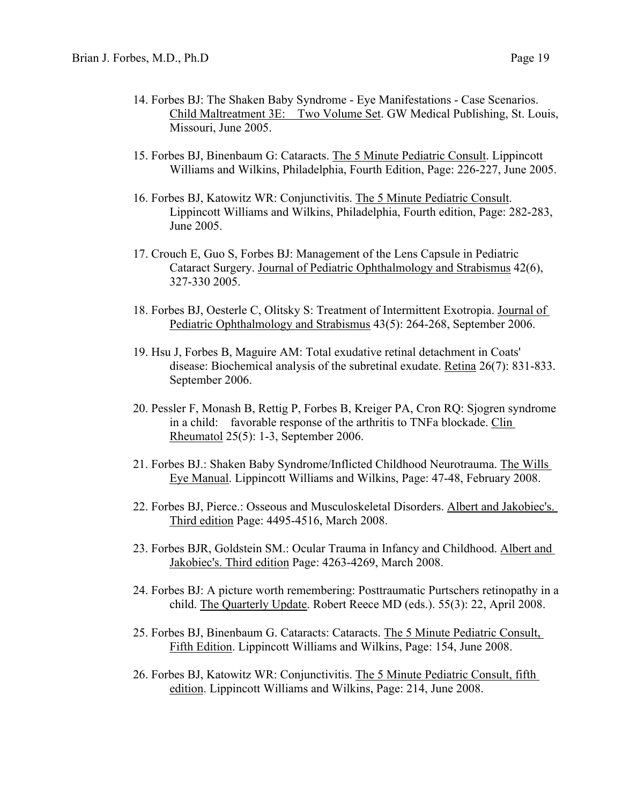- 14. Forbes BJ: The Shaken Baby Syndrome Eye Manifestations Case Scenarios. Child Maltreatment 3E: Two Volume Set. GW Medical Publishing, St. Louis, Missouri, June 2005.
- 15. Forbes BJ, Binenbaum G: Cataracts. The 5 Minute Pediatric Consult. Lippincott Williams and Wilkins, Philadelphia, Fourth Edition, Page: 226-227, June 2005.
- 16. Forbes BJ, Katowitz WR: Conjunctivitis. The 5 Minute Pediatric Consult. Lippincott Williams and Wilkins, Philadelphia, Fourth edition, Page: 282-283, June 2005.
- 17. Crouch E, Guo S, Forbes BJ: Management of the Lens Capsule in Pediatric Cataract Surgery. Journal of Pediatric Ophthalmology and Strabismus 42(6), 327-330 2005.
- 18. Forbes BJ, Oesterle C, Olitsky S: Treatment of Intermittent Exotropia. Journal of Pediatric Ophthalmology and Strabismus 43(5): 264-268, September 2006.
- 19. Hsu J, Forbes B, Maguire AM: Total exudative retinal detachment in Coats' disease: Biochemical analysis of the subretinal exudate. Retina 26(7): 831-833. September 2006.
- 20. Pessler F, Monash B, Rettig P, Forbes B, Kreiger PA, Cron RQ: Sjogren syndrome in a child: favorable response of the arthritis to TNFa blockade. Clin Rheumatol 25(5): 1-3, September 2006.
- 21. Forbes BJ.: Shaken Baby Syndrome/Inflicted Childhood Neurotrauma. The Wills Eye Manual. Lippincott Williams and Wilkins, Page: 47-48, February 2008.
- 22. Forbes BJ, Pierce.: Osseous and Musculoskeletal Disorders. Albert and Jakobiec's. Third edition Page: 4495-4516, March 2008.
- 23. Forbes BJR, Goldstein SM.: Ocular Trauma in Infancy and Childhood. Albert and Jakobiec's. Third edition Page: 4263-4269, March 2008.
- 24. Forbes BJ: A picture worth remembering: Posttraumatic Purtschers retinopathy in a child. The Quarterly Update. Robert Reece MD (eds.). 55(3): 22, April 2008.
- 25. Forbes BJ, Binenbaum G. Cataracts: Cataracts. The 5 Minute Pediatric Consult, Fifth Edition. Lippincott Williams and Wilkins, Page: 154, June 2008.
- 26. Forbes BJ, Katowitz WR: Conjunctivitis. The 5 Minute Pediatric Consult, fifth edition. Lippincott Williams and Wilkins, Page: 214, June 2008.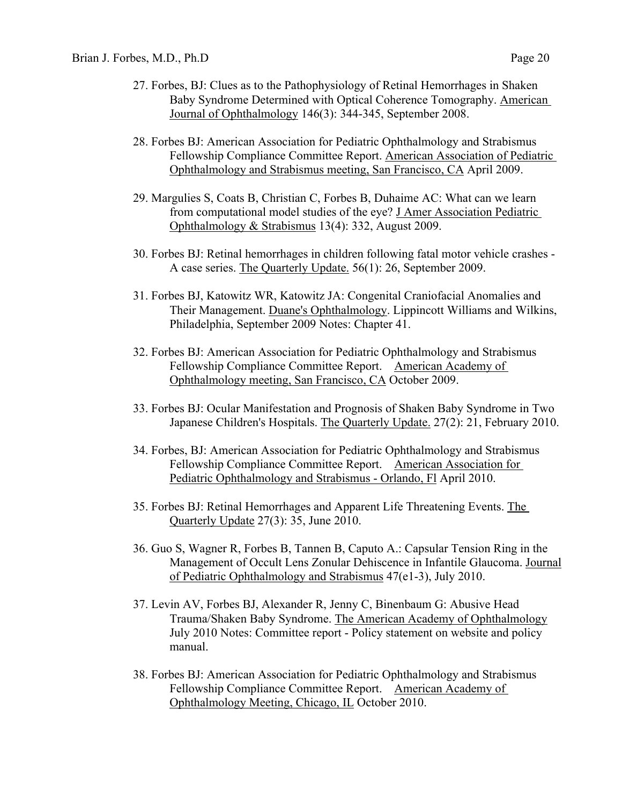- 27. Forbes, BJ: Clues as to the Pathophysiology of Retinal Hemorrhages in Shaken Baby Syndrome Determined with Optical Coherence Tomography. American Journal of Ophthalmology 146(3): 344-345, September 2008.
- 28. Forbes BJ: American Association for Pediatric Ophthalmology and Strabismus Fellowship Compliance Committee Report. American Association of Pediatric Ophthalmology and Strabismus meeting, San Francisco, CA April 2009.
- 29. Margulies S, Coats B, Christian C, Forbes B, Duhaime AC: What can we learn from computational model studies of the eye? J Amer Association Pediatric Ophthalmology & Strabismus 13(4): 332, August 2009.
- 30. Forbes BJ: Retinal hemorrhages in children following fatal motor vehicle crashes A case series. The Quarterly Update. 56(1): 26, September 2009.
- 31. Forbes BJ, Katowitz WR, Katowitz JA: Congenital Craniofacial Anomalies and Their Management. Duane's Ophthalmology. Lippincott Williams and Wilkins, Philadelphia, September 2009 Notes: Chapter 41.
- 32. Forbes BJ: American Association for Pediatric Ophthalmology and Strabismus Fellowship Compliance Committee Report. American Academy of Ophthalmology meeting, San Francisco, CA October 2009.
- 33. Forbes BJ: Ocular Manifestation and Prognosis of Shaken Baby Syndrome in Two Japanese Children's Hospitals. The Quarterly Update. 27(2): 21, February 2010.
- 34. Forbes, BJ: American Association for Pediatric Ophthalmology and Strabismus Fellowship Compliance Committee Report. American Association for Pediatric Ophthalmology and Strabismus - Orlando, Fl April 2010.
- 35. Forbes BJ: Retinal Hemorrhages and Apparent Life Threatening Events. The Quarterly Update 27(3): 35, June 2010.
- 36. Guo S, Wagner R, Forbes B, Tannen B, Caputo A.: Capsular Tension Ring in the Management of Occult Lens Zonular Dehiscence in Infantile Glaucoma. Journal of Pediatric Ophthalmology and Strabismus 47(e1-3), July 2010.
- 37. Levin AV, Forbes BJ, Alexander R, Jenny C, Binenbaum G: Abusive Head Trauma/Shaken Baby Syndrome. The American Academy of Ophthalmology July 2010 Notes: Committee report - Policy statement on website and policy manual.
- 38. Forbes BJ: American Association for Pediatric Ophthalmology and Strabismus Fellowship Compliance Committee Report. American Academy of Ophthalmology Meeting, Chicago, IL October 2010.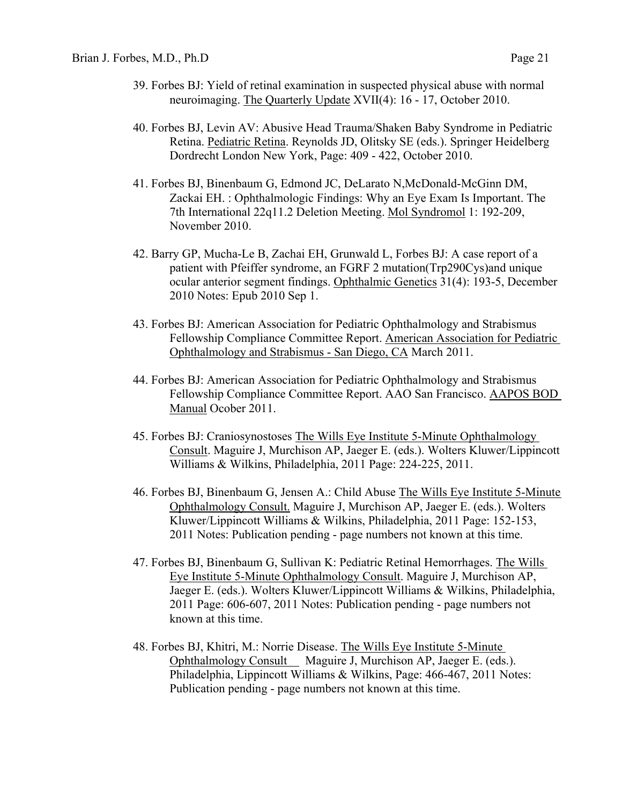- 39. Forbes BJ: Yield of retinal examination in suspected physical abuse with normal neuroimaging. The Quarterly Update XVII(4): 16 - 17, October 2010.
- 40. Forbes BJ, Levin AV: Abusive Head Trauma/Shaken Baby Syndrome in Pediatric Retina. Pediatric Retina. Reynolds JD, Olitsky SE (eds.). Springer Heidelberg Dordrecht London New York, Page: 409 - 422, October 2010.
- 41. Forbes BJ, Binenbaum G, Edmond JC, DeLarato N,McDonald-McGinn DM, Zackai EH. : Ophthalmologic Findings: Why an Eye Exam Is Important. The 7th International 22q11.2 Deletion Meeting. Mol Syndromol 1: 192-209, November 2010.
- 42. Barry GP, Mucha-Le B, Zachai EH, Grunwald L, Forbes BJ: A case report of a patient with Pfeiffer syndrome, an FGRF 2 mutation(Trp290Cys)and unique ocular anterior segment findings. Ophthalmic Genetics 31(4): 193-5, December 2010 Notes: Epub 2010 Sep 1.
- 43. Forbes BJ: American Association for Pediatric Ophthalmology and Strabismus Fellowship Compliance Committee Report. American Association for Pediatric Ophthalmology and Strabismus - San Diego, CA March 2011.
- 44. Forbes BJ: American Association for Pediatric Ophthalmology and Strabismus Fellowship Compliance Committee Report. AAO San Francisco. AAPOS BOD Manual Ocober 2011.
- 45. Forbes BJ: Craniosynostoses The Wills Eye Institute 5-Minute Ophthalmology Consult. Maguire J, Murchison AP, Jaeger E. (eds.). Wolters Kluwer/Lippincott Williams & Wilkins, Philadelphia, 2011 Page: 224-225, 2011.
- 46. Forbes BJ, Binenbaum G, Jensen A.: Child Abuse The Wills Eye Institute 5-Minute Ophthalmology Consult. Maguire J, Murchison AP, Jaeger E. (eds.). Wolters Kluwer/Lippincott Williams & Wilkins, Philadelphia, 2011 Page: 152-153, 2011 Notes: Publication pending - page numbers not known at this time.
- 47. Forbes BJ, Binenbaum G, Sullivan K: Pediatric Retinal Hemorrhages. The Wills Eye Institute 5-Minute Ophthalmology Consult. Maguire J, Murchison AP, Jaeger E. (eds.). Wolters Kluwer/Lippincott Williams & Wilkins, Philadelphia, 2011 Page: 606-607, 2011 Notes: Publication pending - page numbers not known at this time.
- 48. Forbes BJ, Khitri, M.: Norrie Disease. The Wills Eye Institute 5-Minute Ophthalmology Consult Maguire J, Murchison AP, Jaeger E. (eds.). Philadelphia, Lippincott Williams & Wilkins, Page: 466-467, 2011 Notes: Publication pending - page numbers not known at this time.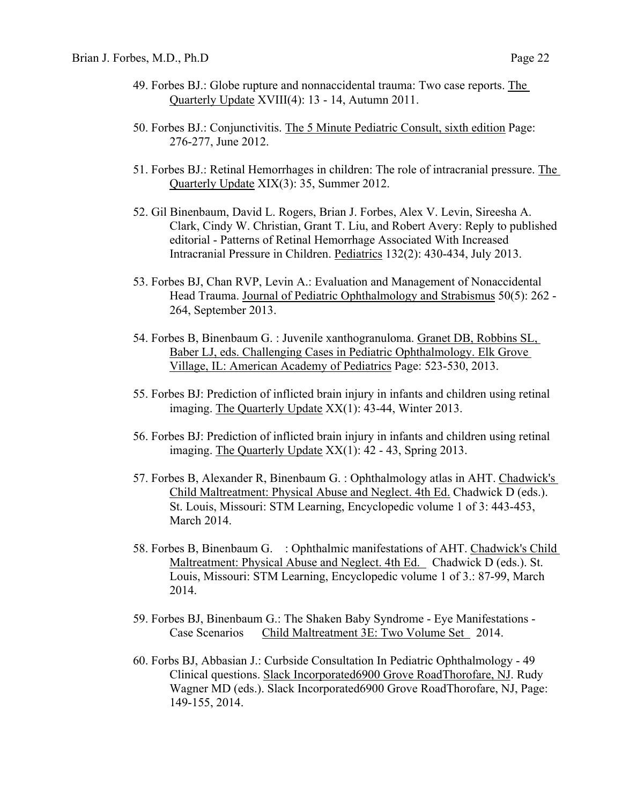- 49. Forbes BJ.: Globe rupture and nonnaccidental trauma: Two case reports. The Quarterly Update XVIII(4): 13 - 14, Autumn 2011.
- 50. Forbes BJ.: Conjunctivitis. The 5 Minute Pediatric Consult, sixth edition Page: 276-277, June 2012.
- 51. Forbes BJ.: Retinal Hemorrhages in children: The role of intracranial pressure. The Quarterly Update XIX(3): 35, Summer 2012.
- 52. Gil Binenbaum, David L. Rogers, Brian J. Forbes, Alex V. Levin, Sireesha A. Clark, Cindy W. Christian, Grant T. Liu, and Robert Avery: Reply to published editorial - Patterns of Retinal Hemorrhage Associated With Increased Intracranial Pressure in Children. Pediatrics 132(2): 430-434, July 2013.
- 53. Forbes BJ, Chan RVP, Levin A.: Evaluation and Management of Nonaccidental Head Trauma. Journal of Pediatric Ophthalmology and Strabismus 50(5): 262 - 264, September 2013.
- 54. Forbes B, Binenbaum G. : Juvenile xanthogranuloma. Granet DB, Robbins SL, Baber LJ, eds. Challenging Cases in Pediatric Ophthalmology. Elk Grove Village, IL: American Academy of Pediatrics Page: 523-530, 2013.
- 55. Forbes BJ: Prediction of inflicted brain injury in infants and children using retinal imaging. The Quarterly Update XX(1): 43-44, Winter 2013.
- 56. Forbes BJ: Prediction of inflicted brain injury in infants and children using retinal imaging. The Quarterly Update XX(1): 42 - 43, Spring 2013.
- 57. Forbes B, Alexander R, Binenbaum G. : Ophthalmology atlas in AHT. Chadwick's Child Maltreatment: Physical Abuse and Neglect. 4th Ed. Chadwick D (eds.). St. Louis, Missouri: STM Learning, Encyclopedic volume 1 of 3: 443-453, March 2014.
- 58. Forbes B, Binenbaum G. : Ophthalmic manifestations of AHT. Chadwick's Child Maltreatment: Physical Abuse and Neglect. 4th Ed. Chadwick D (eds.). St. Louis, Missouri: STM Learning, Encyclopedic volume 1 of 3.: 87-99, March 2014.
- 59. Forbes BJ, Binenbaum G.: The Shaken Baby Syndrome Eye Manifestations Case Scenarios Child Maltreatment 3E: Two Volume Set 2014.
- 60. Forbs BJ, Abbasian J.: Curbside Consultation In Pediatric Ophthalmology 49 Clinical questions. Slack Incorporated6900 Grove RoadThorofare, NJ. Rudy Wagner MD (eds.). Slack Incorporated6900 Grove RoadThorofare, NJ, Page: 149-155, 2014.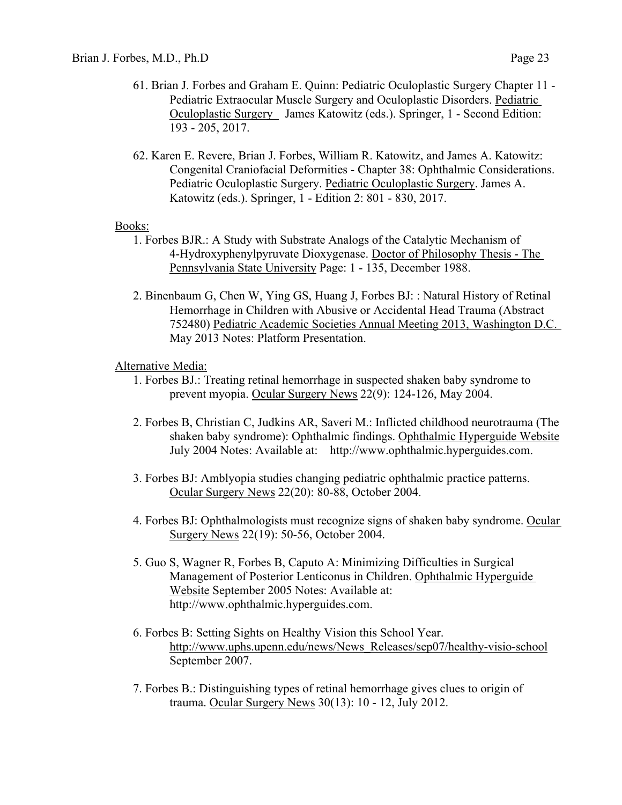- 61. Brian J. Forbes and Graham E. Quinn: Pediatric Oculoplastic Surgery Chapter 11 Pediatric Extraocular Muscle Surgery and Oculoplastic Disorders. Pediatric Oculoplastic Surgery James Katowitz (eds.). Springer, 1 - Second Edition: 193 - 205, 2017.
- 62. Karen E. Revere, Brian J. Forbes, William R. Katowitz, and James A. Katowitz: Congenital Craniofacial Deformities - Chapter 38: Ophthalmic Considerations. Pediatric Oculoplastic Surgery. Pediatric Oculoplastic Surgery. James A. Katowitz (eds.). Springer, 1 - Edition 2: 801 - 830, 2017.

#### Books:

- 1. Forbes BJR.: A Study with Substrate Analogs of the Catalytic Mechanism of 4-Hydroxyphenylpyruvate Dioxygenase. Doctor of Philosophy Thesis - The Pennsylvania State University Page: 1 - 135, December 1988.
- 2. Binenbaum G, Chen W, Ying GS, Huang J, Forbes BJ: : Natural History of Retinal Hemorrhage in Children with Abusive or Accidental Head Trauma (Abstract 752480) Pediatric Academic Societies Annual Meeting 2013, Washington D.C. May 2013 Notes: Platform Presentation.

## Alternative Media:

- 1. Forbes BJ.: Treating retinal hemorrhage in suspected shaken baby syndrome to prevent myopia. Ocular Surgery News 22(9): 124-126, May 2004.
- 2. Forbes B, Christian C, Judkins AR, Saveri M.: Inflicted childhood neurotrauma (The shaken baby syndrome): Ophthalmic findings. Ophthalmic Hyperguide Website July 2004 Notes: Available at: http://www.ophthalmic.hyperguides.com.
- 3. Forbes BJ: Amblyopia studies changing pediatric ophthalmic practice patterns. Ocular Surgery News 22(20): 80-88, October 2004.
- 4. Forbes BJ: Ophthalmologists must recognize signs of shaken baby syndrome. Ocular Surgery News 22(19): 50-56, October 2004.
- 5. Guo S, Wagner R, Forbes B, Caputo A: Minimizing Difficulties in Surgical Management of Posterior Lenticonus in Children. Ophthalmic Hyperguide Website September 2005 Notes: Available at: http://www.ophthalmic.hyperguides.com.
- 6. Forbes B: Setting Sights on Healthy Vision this School Year. http://www.uphs.upenn.edu/news/News\_Releases/sep07/healthy-visio-school September 2007.
- 7. Forbes B.: Distinguishing types of retinal hemorrhage gives clues to origin of trauma. Ocular Surgery News 30(13): 10 - 12, July 2012.